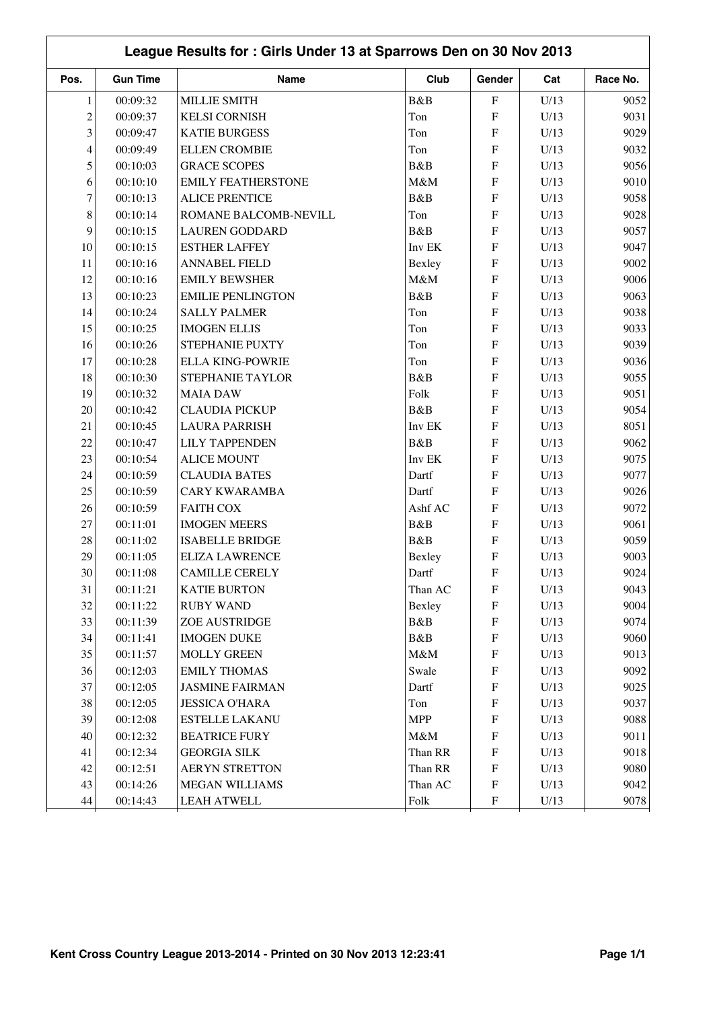|                          | League Results for: Girls Under 13 at Sparrows Den on 30 Nov 2013 |                           |            |                           |      |          |  |  |  |
|--------------------------|-------------------------------------------------------------------|---------------------------|------------|---------------------------|------|----------|--|--|--|
| Pos.                     | <b>Gun Time</b>                                                   | <b>Name</b>               | Club       | Gender                    | Cat  | Race No. |  |  |  |
| 1                        | 00:09:32                                                          | <b>MILLIE SMITH</b>       | B&B        | $\boldsymbol{\mathrm{F}}$ | U/13 | 9052     |  |  |  |
| $\overline{c}$           | 00:09:37                                                          | <b>KELSI CORNISH</b>      | Ton        | ${\bf F}$                 | U/13 | 9031     |  |  |  |
| 3                        | 00:09:47                                                          | <b>KATIE BURGESS</b>      | Ton        | ${\bf F}$                 | U/13 | 9029     |  |  |  |
| $\overline{\mathcal{L}}$ | 00:09:49                                                          | <b>ELLEN CROMBIE</b>      | Ton        | ${\bf F}$                 | U/13 | 9032     |  |  |  |
| 5                        | 00:10:03                                                          | <b>GRACE SCOPES</b>       | B&B        | ${\bf F}$                 | U/13 | 9056     |  |  |  |
| 6                        | 00:10:10                                                          | <b>EMILY FEATHERSTONE</b> | M&M        | ${\bf F}$                 | U/13 | 9010     |  |  |  |
| $\tau$                   | 00:10:13                                                          | <b>ALICE PRENTICE</b>     | B&B        | ${\bf F}$                 | U/13 | 9058     |  |  |  |
| $\,8\,$                  | 00:10:14                                                          | ROMANE BALCOMB-NEVILL     | Ton        | ${\bf F}$                 | U/13 | 9028     |  |  |  |
| 9                        | 00:10:15                                                          | <b>LAUREN GODDARD</b>     | B&B        | ${\bf F}$                 | U/13 | 9057     |  |  |  |
| 10                       | 00:10:15                                                          | <b>ESTHER LAFFEY</b>      | Inv EK     | ${\bf F}$                 | U/13 | 9047     |  |  |  |
| 11                       | 00:10:16                                                          | <b>ANNABEL FIELD</b>      | Bexley     | ${\bf F}$                 | U/13 | 9002     |  |  |  |
| 12                       | 00:10:16                                                          | <b>EMILY BEWSHER</b>      | M&M        | ${\bf F}$                 | U/13 | 9006     |  |  |  |
| 13                       | 00:10:23                                                          | <b>EMILIE PENLINGTON</b>  | B&B        | ${\bf F}$                 | U/13 | 9063     |  |  |  |
| 14                       | 00:10:24                                                          | <b>SALLY PALMER</b>       | Ton        | ${\bf F}$                 | U/13 | 9038     |  |  |  |
| 15                       | 00:10:25                                                          | <b>IMOGEN ELLIS</b>       | Ton        | ${\bf F}$                 | U/13 | 9033     |  |  |  |
| 16                       | 00:10:26                                                          | STEPHANIE PUXTY           | Ton        | ${\bf F}$                 | U/13 | 9039     |  |  |  |
| 17                       | 00:10:28                                                          | <b>ELLA KING-POWRIE</b>   | Ton        | ${\bf F}$                 | U/13 | 9036     |  |  |  |
| 18                       | 00:10:30                                                          | <b>STEPHANIE TAYLOR</b>   | B&B        | ${\bf F}$                 | U/13 | 9055     |  |  |  |
| 19                       | 00:10:32                                                          | <b>MAIA DAW</b>           | Folk       | ${\bf F}$                 | U/13 | 9051     |  |  |  |
| 20                       | 00:10:42                                                          | <b>CLAUDIA PICKUP</b>     | B&B        | ${\bf F}$                 | U/13 | 9054     |  |  |  |
| 21                       | 00:10:45                                                          | <b>LAURA PARRISH</b>      | Inv EK     | ${\bf F}$                 | U/13 | 8051     |  |  |  |
| 22                       | 00:10:47                                                          | <b>LILY TAPPENDEN</b>     | B&B        | ${\bf F}$                 | U/13 | 9062     |  |  |  |
| 23                       | 00:10:54                                                          | <b>ALICE MOUNT</b>        | Inv EK     | ${\bf F}$                 | U/13 | 9075     |  |  |  |
| 24                       | 00:10:59                                                          | <b>CLAUDIA BATES</b>      | Dartf      | ${\bf F}$                 | U/13 | 9077     |  |  |  |
| 25                       | 00:10:59                                                          | <b>CARY KWARAMBA</b>      | Dartf      | ${\bf F}$                 | U/13 | 9026     |  |  |  |
| 26                       | 00:10:59                                                          | <b>FAITH COX</b>          | Ashf AC    | ${\bf F}$                 | U/13 | 9072     |  |  |  |
| 27                       | 00:11:01                                                          | <b>IMOGEN MEERS</b>       | B&B        | ${\bf F}$                 | U/13 | 9061     |  |  |  |
| 28                       | 00:11:02                                                          | <b>ISABELLE BRIDGE</b>    | B&B        | ${\bf F}$                 | U/13 | 9059     |  |  |  |
| 29                       | 00:11:05                                                          | <b>ELIZA LAWRENCE</b>     | Bexley     | ${\bf F}$                 | U/13 | 9003     |  |  |  |
| $30\,$                   | 00:11:08                                                          | <b>CAMILLE CERELY</b>     | Dartf      | ${\bf F}$                 | U/13 | 9024     |  |  |  |
| 31                       | 00:11:21                                                          | <b>KATIE BURTON</b>       | Than AC    | $\boldsymbol{\mathrm{F}}$ | U/13 | 9043     |  |  |  |
| 32                       | 00:11:22                                                          | <b>RUBY WAND</b>          | Bexley     | $\boldsymbol{\mathrm{F}}$ | U/13 | 9004     |  |  |  |
| 33                       | 00:11:39                                                          | ZOE AUSTRIDGE             | B&B        | $\boldsymbol{\mathrm{F}}$ | U/13 | 9074     |  |  |  |
| 34                       | 00:11:41                                                          | <b>IMOGEN DUKE</b>        | B&B        | ${\bf F}$                 | U/13 | 9060     |  |  |  |
| 35                       | 00:11:57                                                          | <b>MOLLY GREEN</b>        | $M\&M$     | $\boldsymbol{\mathrm{F}}$ | U/13 | 9013     |  |  |  |
| 36                       | 00:12:03                                                          | <b>EMILY THOMAS</b>       | Swale      | ${\bf F}$                 | U/13 | 9092     |  |  |  |
| 37                       | 00:12:05                                                          | <b>JASMINE FAIRMAN</b>    | Dartf      | ${\bf F}$                 | U/13 | 9025     |  |  |  |
| 38                       | 00:12:05                                                          | <b>JESSICA O'HARA</b>     | Ton        | ${\bf F}$                 | U/13 | 9037     |  |  |  |
| 39                       | 00:12:08                                                          | <b>ESTELLE LAKANU</b>     | <b>MPP</b> | ${\bf F}$                 | U/13 | 9088     |  |  |  |
| 40                       | 00:12:32                                                          | <b>BEATRICE FURY</b>      | $M\&M$     | ${\bf F}$                 | U/13 | 9011     |  |  |  |
| 41                       | 00:12:34                                                          | <b>GEORGIA SILK</b>       | Than RR    | ${\bf F}$                 | U/13 | 9018     |  |  |  |
| 42                       | 00:12:51                                                          | <b>AERYN STRETTON</b>     | Than RR    | ${\bf F}$                 | U/13 | 9080     |  |  |  |
| 43                       | 00:14:26                                                          | MEGAN WILLIAMS            | Than AC    | ${\bf F}$                 | U/13 | 9042     |  |  |  |
| 44                       | 00:14:43                                                          | <b>LEAH ATWELL</b>        | Folk       | ${\bf F}$                 | U/13 | 9078     |  |  |  |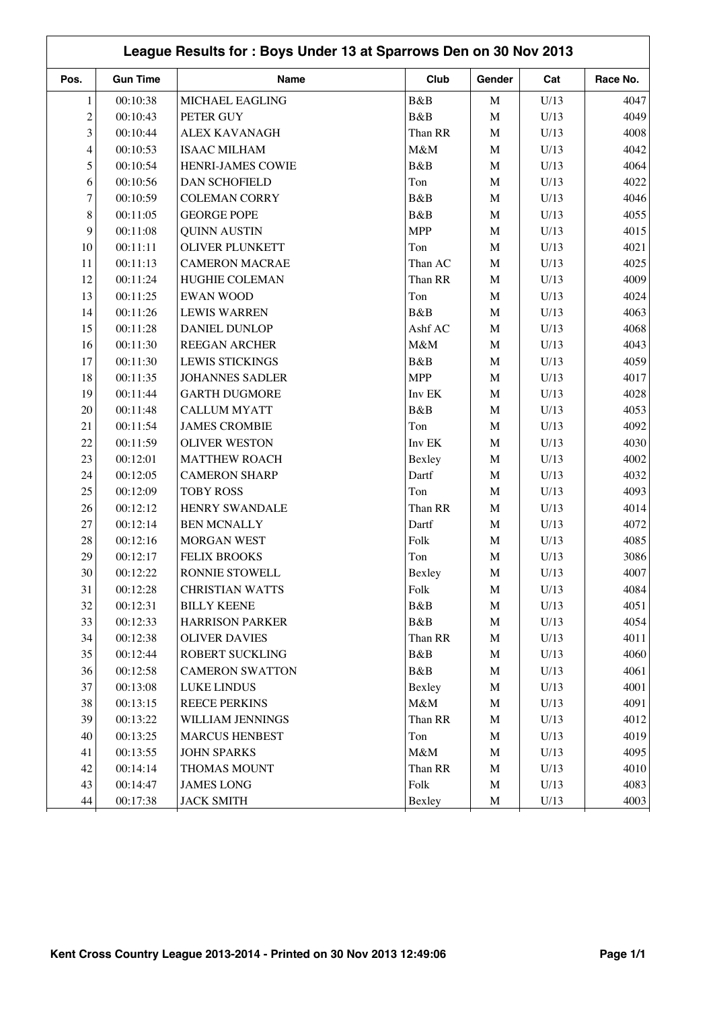|                | League Results for: Boys Under 13 at Sparrows Den on 30 Nov 2013 |                        |            |             |      |          |  |  |  |
|----------------|------------------------------------------------------------------|------------------------|------------|-------------|------|----------|--|--|--|
| Pos.           | <b>Gun Time</b>                                                  | Name                   | Club       | Gender      | Cat  | Race No. |  |  |  |
| 1              | 00:10:38                                                         | MICHAEL EAGLING        | B&B        | $\mathbf M$ | U/13 | 4047     |  |  |  |
| $\overline{c}$ | 00:10:43                                                         | PETER GUY              | B&B        | $\mathbf M$ | U/13 | 4049     |  |  |  |
| 3              | 00:10:44                                                         | <b>ALEX KAVANAGH</b>   | Than RR    | $\mathbf M$ | U/13 | 4008     |  |  |  |
| 4              | 00:10:53                                                         | <b>ISAAC MILHAM</b>    | M&M        | $\mathbf M$ | U/13 | 4042     |  |  |  |
| 5              | 00:10:54                                                         | HENRI-JAMES COWIE      | B&B        | $\mathbf M$ | U/13 | 4064     |  |  |  |
| 6              | 00:10:56                                                         | <b>DAN SCHOFIELD</b>   | Ton        | $\mathbf M$ | U/13 | 4022     |  |  |  |
| 7              | 00:10:59                                                         | <b>COLEMAN CORRY</b>   | B&B        | $\mathbf M$ | U/13 | 4046     |  |  |  |
| 8              | 00:11:05                                                         | <b>GEORGE POPE</b>     | B&B        | $\mathbf M$ | U/13 | 4055     |  |  |  |
| 9              | 00:11:08                                                         | <b>QUINN AUSTIN</b>    | <b>MPP</b> | $\mathbf M$ | U/13 | 4015     |  |  |  |
| 10             | 00:11:11                                                         | <b>OLIVER PLUNKETT</b> | Ton        | $\mathbf M$ | U/13 | 4021     |  |  |  |
| 11             | 00:11:13                                                         | <b>CAMERON MACRAE</b>  | Than AC    | $\mathbf M$ | U/13 | 4025     |  |  |  |
| 12             | 00:11:24                                                         | HUGHIE COLEMAN         | Than RR    | $\mathbf M$ | U/13 | 4009     |  |  |  |
| 13             | 00:11:25                                                         | <b>EWAN WOOD</b>       | Ton        | $\mathbf M$ | U/13 | 4024     |  |  |  |
| 14             | 00:11:26                                                         | <b>LEWIS WARREN</b>    | B&B        | $\mathbf M$ | U/13 | 4063     |  |  |  |
| 15             | 00:11:28                                                         | DANIEL DUNLOP          | Ashf AC    | $\mathbf M$ | U/13 | 4068     |  |  |  |
| 16             | 00:11:30                                                         | REEGAN ARCHER          | M&M        | $\mathbf M$ | U/13 | 4043     |  |  |  |
| 17             | 00:11:30                                                         | <b>LEWIS STICKINGS</b> | B&B        | $\mathbf M$ | U/13 | 4059     |  |  |  |
| 18             | 00:11:35                                                         | <b>JOHANNES SADLER</b> | <b>MPP</b> | $\mathbf M$ | U/13 | 4017     |  |  |  |
| 19             | 00:11:44                                                         | <b>GARTH DUGMORE</b>   | Inv EK     | $\mathbf M$ | U/13 | 4028     |  |  |  |
| 20             | 00:11:48                                                         | <b>CALLUM MYATT</b>    | B&B        | $\mathbf M$ | U/13 | 4053     |  |  |  |
| 21             | 00:11:54                                                         | <b>JAMES CROMBIE</b>   | Ton        | $\mathbf M$ | U/13 | 4092     |  |  |  |
| 22             | 00:11:59                                                         | <b>OLIVER WESTON</b>   | Inv EK     | $\mathbf M$ | U/13 | 4030     |  |  |  |
| 23             | 00:12:01                                                         | <b>MATTHEW ROACH</b>   | Bexley     | $\mathbf M$ | U/13 | 4002     |  |  |  |
| 24             | 00:12:05                                                         | <b>CAMERON SHARP</b>   | Dartf      | $\mathbf M$ | U/13 | 4032     |  |  |  |
| 25             | 00:12:09                                                         | <b>TOBY ROSS</b>       | Ton        | $\mathbf M$ | U/13 | 4093     |  |  |  |
| 26             | 00:12:12                                                         | HENRY SWANDALE         | Than RR    | $\mathbf M$ | U/13 | 4014     |  |  |  |
| 27             | 00:12:14                                                         | <b>BEN MCNALLY</b>     | Dartf      | $\mathbf M$ | U/13 | 4072     |  |  |  |
| 28             | 00:12:16                                                         | <b>MORGAN WEST</b>     | Folk       | $\mathbf M$ | U/13 | 4085     |  |  |  |
| 29             | 00:12:17                                                         | <b>FELIX BROOKS</b>    | Ton        | $\mathbf M$ | U/13 | 3086     |  |  |  |
| $30\,$         | 00:12:22                                                         | RONNIE STOWELL         | Bexley     | M           | U/13 | 4007     |  |  |  |
| 31             | 00:12:28                                                         | <b>CHRISTIAN WATTS</b> | Folk       | M           | U/13 | 4084     |  |  |  |
| 32             | 00:12:31                                                         | <b>BILLY KEENE</b>     | B&B        | $\mathbf M$ | U/13 | 4051     |  |  |  |
| 33             | 00:12:33                                                         | <b>HARRISON PARKER</b> | B&B        | $\mathbf M$ | U/13 | 4054     |  |  |  |
| 34             | 00:12:38                                                         | <b>OLIVER DAVIES</b>   | Than RR    | $\mathbf M$ | U/13 | 4011     |  |  |  |
| 35             | 00:12:44                                                         | ROBERT SUCKLING        | B&B        | $\mathbf M$ | U/13 | 4060     |  |  |  |
| 36             | 00:12:58                                                         | <b>CAMERON SWATTON</b> | B&B        | $\mathbf M$ | U/13 | 4061     |  |  |  |
| 37             | 00:13:08                                                         | <b>LUKE LINDUS</b>     | Bexley     | $\mathbf M$ | U/13 | 4001     |  |  |  |
| 38             | 00:13:15                                                         | <b>REECE PERKINS</b>   | M&M        | $\mathbf M$ | U/13 | 4091     |  |  |  |
| 39             | 00:13:22                                                         | WILLIAM JENNINGS       | Than RR    | $\mathbf M$ | U/13 | 4012     |  |  |  |
| 40             | 00:13:25                                                         | <b>MARCUS HENBEST</b>  | Ton        | $\mathbf M$ | U/13 | 4019     |  |  |  |
| 41             | 00:13:55                                                         | <b>JOHN SPARKS</b>     | $M\&M$     | M           | U/13 | 4095     |  |  |  |
| 42             | 00:14:14                                                         | THOMAS MOUNT           | Than RR    | M           | U/13 | 4010     |  |  |  |
| 43             | 00:14:47                                                         | <b>JAMES LONG</b>      | Folk       | M           | U/13 | 4083     |  |  |  |
| 44             | 00:17:38                                                         | <b>JACK SMITH</b>      | Bexley     | $\mathbf M$ | U/13 | 4003     |  |  |  |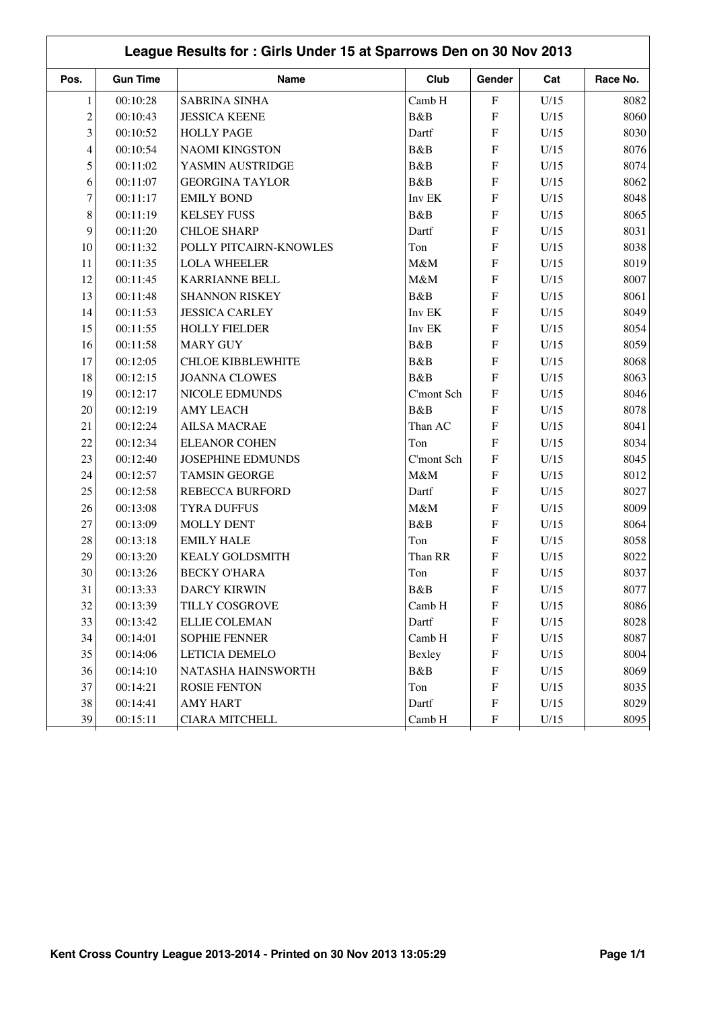| League Results for: Girls Under 15 at Sparrows Den on 30 Nov 2013 |                 |                          |            |                           |      |          |  |  |
|-------------------------------------------------------------------|-----------------|--------------------------|------------|---------------------------|------|----------|--|--|
| Pos.                                                              | <b>Gun Time</b> | Name                     | Club       | Gender                    | Cat  | Race No. |  |  |
| $\mathbf{1}$                                                      | 00:10:28        | <b>SABRINA SINHA</b>     | Camb H     | ${\bf F}$                 | U/15 | 8082     |  |  |
| $\overline{c}$                                                    | 00:10:43        | <b>JESSICA KEENE</b>     | B&B        | $\mathbf F$               | U/15 | 8060     |  |  |
| 3                                                                 | 00:10:52        | <b>HOLLY PAGE</b>        | Dartf      | $\mathbf F$               | U/15 | 8030     |  |  |
| 4                                                                 | 00:10:54        | <b>NAOMI KINGSTON</b>    | B&B        | $\boldsymbol{\mathrm{F}}$ | U/15 | 8076     |  |  |
| 5                                                                 | 00:11:02        | YASMIN AUSTRIDGE         | B&B        | F                         | U/15 | 8074     |  |  |
| 6                                                                 | 00:11:07        | <b>GEORGINA TAYLOR</b>   | B&B        | ${\bf F}$                 | U/15 | 8062     |  |  |
| $\overline{7}$                                                    | 00:11:17        | <b>EMILY BOND</b>        | Inv EK     | $\boldsymbol{\mathrm{F}}$ | U/15 | 8048     |  |  |
| 8                                                                 | 00:11:19        | <b>KELSEY FUSS</b>       | B&B        | $\boldsymbol{\mathrm{F}}$ | U/15 | 8065     |  |  |
| 9                                                                 | 00:11:20        | <b>CHLOE SHARP</b>       | Dartf      | $\boldsymbol{\mathrm{F}}$ | U/15 | 8031     |  |  |
| 10                                                                | 00:11:32        | POLLY PITCAIRN-KNOWLES   | Ton        | $\boldsymbol{\mathrm{F}}$ | U/15 | 8038     |  |  |
| 11                                                                | 00:11:35        | <b>LOLA WHEELER</b>      | M&M        | $\boldsymbol{\mathrm{F}}$ | U/15 | 8019     |  |  |
| 12                                                                | 00:11:45        | <b>KARRIANNE BELL</b>    | M&M        | $\boldsymbol{\mathrm{F}}$ | U/15 | 8007     |  |  |
| 13                                                                | 00:11:48        | <b>SHANNON RISKEY</b>    | B&B        | $\boldsymbol{\mathrm{F}}$ | U/15 | 8061     |  |  |
| 14                                                                | 00:11:53        | <b>JESSICA CARLEY</b>    | Inv EK     | $\boldsymbol{\mathrm{F}}$ | U/15 | 8049     |  |  |
| 15                                                                | 00:11:55        | <b>HOLLY FIELDER</b>     | Inv EK     | $\mathbf F$               | U/15 | 8054     |  |  |
| 16                                                                | 00:11:58        | <b>MARY GUY</b>          | B&B        | F                         | U/15 | 8059     |  |  |
| 17                                                                | 00:12:05        | <b>CHLOE KIBBLEWHITE</b> | B&B        | $\mathbf F$               | U/15 | 8068     |  |  |
| 18                                                                | 00:12:15        | <b>JOANNA CLOWES</b>     | B&B        | $\mathbf F$               | U/15 | 8063     |  |  |
| 19                                                                | 00:12:17        | NICOLE EDMUNDS           | C'mont Sch | $\boldsymbol{\mathrm{F}}$ | U/15 | 8046     |  |  |
| 20                                                                | 00:12:19        | <b>AMY LEACH</b>         | B&B        | $\boldsymbol{\mathrm{F}}$ | U/15 | 8078     |  |  |
| 21                                                                | 00:12:24        | <b>AILSA MACRAE</b>      | Than AC    | $\boldsymbol{\mathrm{F}}$ | U/15 | 8041     |  |  |
| 22                                                                | 00:12:34        | <b>ELEANOR COHEN</b>     | Ton        | $\overline{F}$            | U/15 | 8034     |  |  |
| 23                                                                | 00:12:40        | <b>JOSEPHINE EDMUNDS</b> | C'mont Sch | $\boldsymbol{\mathrm{F}}$ | U/15 | 8045     |  |  |
| 24                                                                | 00:12:57        | <b>TAMSIN GEORGE</b>     | M&M        | F                         | U/15 | 8012     |  |  |
| 25                                                                | 00:12:58        | REBECCA BURFORD          | Dartf      | $\boldsymbol{\mathrm{F}}$ | U/15 | 8027     |  |  |
| 26                                                                | 00:13:08        | <b>TYRA DUFFUS</b>       | M&M        | $\boldsymbol{\mathrm{F}}$ | U/15 | 8009     |  |  |
| 27                                                                | 00:13:09        | <b>MOLLY DENT</b>        | B&B        | $\boldsymbol{\mathrm{F}}$ | U/15 | 8064     |  |  |
| 28                                                                | 00:13:18        | <b>EMILY HALE</b>        | Ton        | $\boldsymbol{\mathrm{F}}$ | U/15 | 8058     |  |  |
| 29                                                                | 00:13:20        | <b>KEALY GOLDSMITH</b>   | Than RR    | $\boldsymbol{\mathrm{F}}$ | U/15 | 8022     |  |  |
| 30                                                                | 00:13:26        | <b>BECKY O'HARA</b>      | Ton        | $\boldsymbol{\mathrm{F}}$ | U/15 | 8037     |  |  |
| 31                                                                | 00:13:33        | <b>DARCY KIRWIN</b>      | B&B        | $\boldsymbol{\mathrm{F}}$ | U/15 | 8077     |  |  |
| 32                                                                | 00:13:39        | TILLY COSGROVE           | Camb H     | $\boldsymbol{\mathrm{F}}$ | U/15 | 8086     |  |  |
| 33                                                                | 00:13:42        | <b>ELLIE COLEMAN</b>     | Dartf      | $\boldsymbol{\mathrm{F}}$ | U/15 | 8028     |  |  |
| 34                                                                | 00:14:01        | <b>SOPHIE FENNER</b>     | Camb H     | $\boldsymbol{\mathrm{F}}$ | U/15 | 8087     |  |  |
| 35                                                                | 00:14:06        | LETICIA DEMELO           | Bexley     | $\boldsymbol{\mathrm{F}}$ | U/15 | 8004     |  |  |
| 36                                                                | 00:14:10        | NATASHA HAINSWORTH       | B&B        | $\boldsymbol{\mathrm{F}}$ | U/15 | 8069     |  |  |
| 37                                                                | 00:14:21        | <b>ROSIE FENTON</b>      | Ton        | $\boldsymbol{\mathrm{F}}$ | U/15 | 8035     |  |  |
| 38                                                                | 00:14:41        | <b>AMY HART</b>          | Dartf      | $\boldsymbol{\mathrm{F}}$ | U/15 | 8029     |  |  |
| 39                                                                | 00:15:11        | <b>CIARA MITCHELL</b>    | Camb H     | $\boldsymbol{\mathrm{F}}$ | U/15 | 8095     |  |  |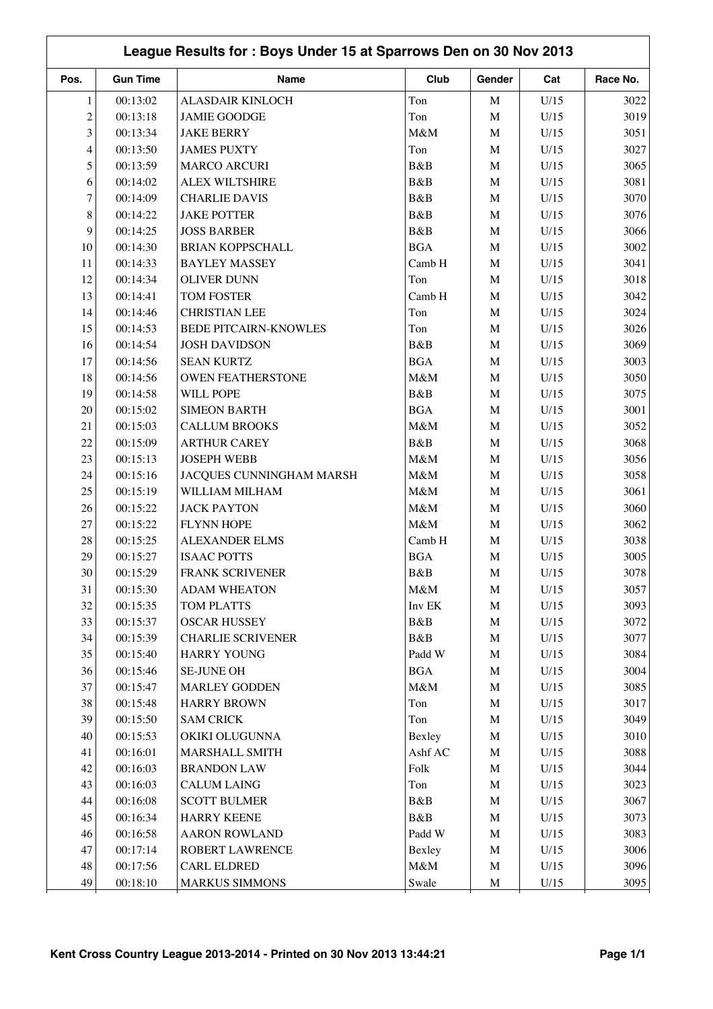|                | League Results for: Boys Under 15 at Sparrows Den on 30 Nov 2013 |                              |            |             |      |          |  |  |  |
|----------------|------------------------------------------------------------------|------------------------------|------------|-------------|------|----------|--|--|--|
| Pos.           | <b>Gun Time</b>                                                  | Name                         | Club       | Gender      | Cat  | Race No. |  |  |  |
| 1              | 00:13:02                                                         | <b>ALASDAIR KINLOCH</b>      | Ton        | $\mathbf M$ | U/15 | 3022     |  |  |  |
| $\overline{c}$ | 00:13:18                                                         | <b>JAMIE GOODGE</b>          | Ton        | $\mathbf M$ | U/15 | 3019     |  |  |  |
| 3              | 00:13:34                                                         | <b>JAKE BERRY</b>            | M&M        | $\mathbf M$ | U/15 | 3051     |  |  |  |
| $\overline{4}$ | 00:13:50                                                         | <b>JAMES PUXTY</b>           | Ton        | $\mathbf M$ | U/15 | 3027     |  |  |  |
| 5              | 00:13:59                                                         | <b>MARCO ARCURI</b>          | B&B        | $\mathbf M$ | U/15 | 3065     |  |  |  |
| 6              | 00:14:02                                                         | <b>ALEX WILTSHIRE</b>        | B&B        | $\mathbf M$ | U/15 | 3081     |  |  |  |
| $\tau$         | 00:14:09                                                         | <b>CHARLIE DAVIS</b>         | B&B        | $\mathbf M$ | U/15 | 3070     |  |  |  |
| 8              | 00:14:22                                                         | <b>JAKE POTTER</b>           | B&B        | $\mathbf M$ | U/15 | 3076     |  |  |  |
| 9              | 00:14:25                                                         | <b>JOSS BARBER</b>           | B&B        | $\mathbf M$ | U/15 | 3066     |  |  |  |
| 10             | 00:14:30                                                         | <b>BRIAN KOPPSCHALL</b>      | <b>BGA</b> | M           | U/15 | 3002     |  |  |  |
| 11             | 00:14:33                                                         | <b>BAYLEY MASSEY</b>         | Camb H     | $\mathbf M$ | U/15 | 3041     |  |  |  |
| 12             | 00:14:34                                                         | <b>OLIVER DUNN</b>           | Ton        | $\mathbf M$ | U/15 | 3018     |  |  |  |
| 13             | 00:14:41                                                         | TOM FOSTER                   | Camb H     | $\mathbf M$ | U/15 | 3042     |  |  |  |
| 14             | 00:14:46                                                         | <b>CHRISTIAN LEE</b>         | Ton        | $\mathbf M$ | U/15 | 3024     |  |  |  |
| 15             | 00:14:53                                                         | <b>BEDE PITCAIRN-KNOWLES</b> | Ton        | $\mathbf M$ | U/15 | 3026     |  |  |  |
| 16             | 00:14:54                                                         | <b>JOSH DAVIDSON</b>         | B&B        | $\mathbf M$ | U/15 | 3069     |  |  |  |
| 17             | 00:14:56                                                         | <b>SEAN KURTZ</b>            | <b>BGA</b> | $\mathbf M$ | U/15 | 3003     |  |  |  |
| 18             | 00:14:56                                                         | <b>OWEN FEATHERSTONE</b>     | M&M        | $\mathbf M$ | U/15 | 3050     |  |  |  |
| 19             | 00:14:58                                                         | WILL POPE                    | B&B        | $\mathbf M$ | U/15 | 3075     |  |  |  |
| 20             | 00:15:02                                                         | <b>SIMEON BARTH</b>          | <b>BGA</b> | $\mathbf M$ | U/15 | 3001     |  |  |  |
| 21             | 00:15:03                                                         | <b>CALLUM BROOKS</b>         | M&M        | $\mathbf M$ | U/15 | 3052     |  |  |  |
| 22             | 00:15:09                                                         | <b>ARTHUR CAREY</b>          | B&B        | $\mathbf M$ | U/15 | 3068     |  |  |  |
| 23             | 00:15:13                                                         | <b>JOSEPH WEBB</b>           | M&M        | $\mathbf M$ | U/15 | 3056     |  |  |  |
| 24             | 00:15:16                                                         | JACQUES CUNNINGHAM MARSH     | M&M        | $\mathbf M$ | U/15 | 3058     |  |  |  |
| 25             | 00:15:19                                                         | WILLIAM MILHAM               | M&M        | M           | U/15 | 3061     |  |  |  |
| 26             | 00:15:22                                                         | <b>JACK PAYTON</b>           | M&M        | M           | U/15 | 3060     |  |  |  |
| 27             | 00:15:22                                                         | <b>FLYNN HOPE</b>            | M&M        | $\mathbf M$ | U/15 | 3062     |  |  |  |
| 28             | 00:15:25                                                         | ALEXANDER ELMS               | Camb H     | $\mathbf M$ | U/15 | 3038     |  |  |  |
| 29             | 00:15:27                                                         | <b>ISAAC POTTS</b>           | <b>BGA</b> | $\mathbf M$ | U/15 | 3005     |  |  |  |
| $30\,$         | 00:15:29                                                         | FRANK SCRIVENER              | B&B        | M           | U/15 | 3078     |  |  |  |
| 31             | 00:15:30                                                         | <b>ADAM WHEATON</b>          | M&M        | M           | U/15 | 3057     |  |  |  |
| 32             | 00:15:35                                                         | TOM PLATTS                   | Inv EK     | $\mathbf M$ | U/15 | 3093     |  |  |  |
| 33             | 00:15:37                                                         | <b>OSCAR HUSSEY</b>          | B&B        | $\mathbf M$ | U/15 | 3072     |  |  |  |
| 34             | 00:15:39                                                         | <b>CHARLIE SCRIVENER</b>     | B&B        | $\mathbf M$ | U/15 | 3077     |  |  |  |
| 35             | 00:15:40                                                         | <b>HARRY YOUNG</b>           | Padd W     | $\mathbf M$ | U/15 | 3084     |  |  |  |
| 36             | 00:15:46                                                         | <b>SE-JUNE OH</b>            | <b>BGA</b> | $\mathbf M$ | U/15 | 3004     |  |  |  |
| 37             | 00:15:47                                                         | <b>MARLEY GODDEN</b>         | M&M        | $\mathbf M$ | U/15 | 3085     |  |  |  |
| 38             | 00:15:48                                                         | <b>HARRY BROWN</b>           | Ton        | $\mathbf M$ | U/15 | 3017     |  |  |  |
| 39             | 00:15:50                                                         | <b>SAM CRICK</b>             | Ton        | $\mathbf M$ | U/15 | 3049     |  |  |  |
| 40             | 00:15:53                                                         | OKIKI OLUGUNNA               | Bexley     | $\mathbf M$ | U/15 | 3010     |  |  |  |
| 41             | 00:16:01                                                         | MARSHALL SMITH               | Ashf AC    | $\mathbf M$ | U/15 | 3088     |  |  |  |
| 42             | 00:16:03                                                         | <b>BRANDON LAW</b>           | Folk       | $\mathbf M$ | U/15 | 3044     |  |  |  |
| 43             | 00:16:03                                                         | <b>CALUM LAING</b>           | Ton        | $\mathbf M$ | U/15 | 3023     |  |  |  |
| 44             | 00:16:08                                                         | <b>SCOTT BULMER</b>          | B&B        | $\mathbf M$ | U/15 | 3067     |  |  |  |
| 45             | 00:16:34                                                         | <b>HARRY KEENE</b>           | B&B        | $\mathbf M$ | U/15 | 3073     |  |  |  |
| 46             | 00:16:58                                                         | <b>AARON ROWLAND</b>         | Padd W     | $\mathbf M$ | U/15 | 3083     |  |  |  |
| 47             | 00:17:14                                                         | ROBERT LAWRENCE              | Bexley     | $\mathbf M$ | U/15 | 3006     |  |  |  |
| 48             | 00:17:56                                                         | <b>CARL ELDRED</b>           | M&M        | $\mathbf M$ | U/15 | 3096     |  |  |  |
| 49             | 00:18:10                                                         | <b>MARKUS SIMMONS</b>        | Swale      | $\mathbf M$ | U/15 | 3095     |  |  |  |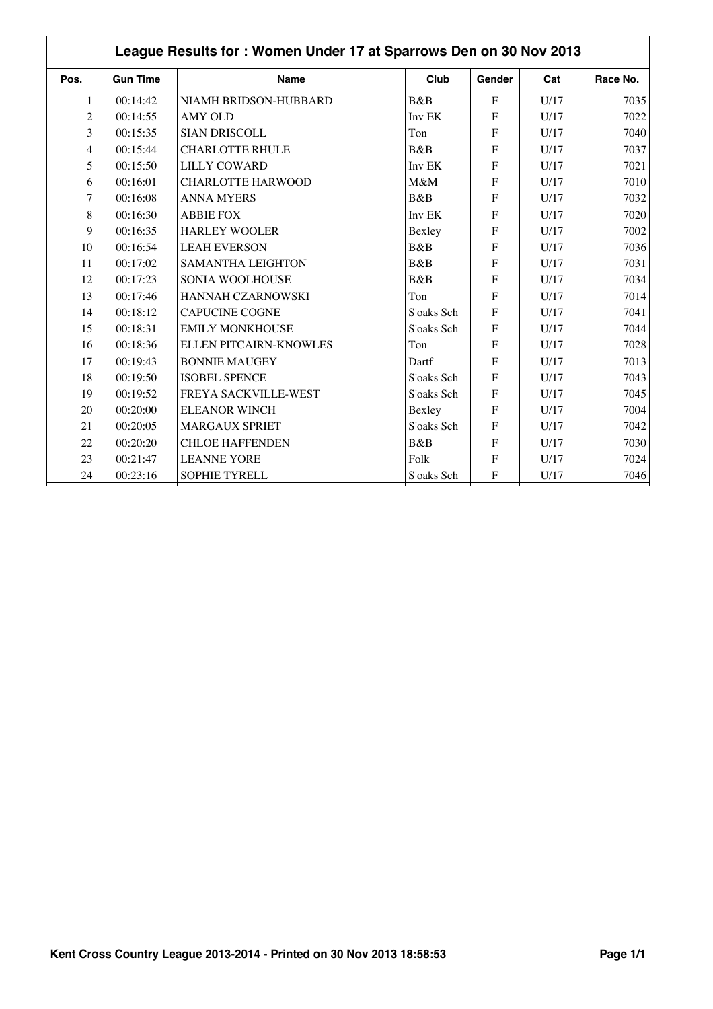|                | League Results for: Women Under 17 at Sparrows Den on 30 Nov 2013 |                          |            |                |      |          |  |  |  |
|----------------|-------------------------------------------------------------------|--------------------------|------------|----------------|------|----------|--|--|--|
| Pos.           | <b>Gun Time</b>                                                   | <b>Name</b>              | Club       | Gender         | Cat  | Race No. |  |  |  |
| 1              | 00:14:42                                                          | NIAMH BRIDSON-HUBBARD    | B&B        | $\mathbf{F}$   | U/17 | 7035     |  |  |  |
| $\overline{c}$ | 00:14:55                                                          | <b>AMY OLD</b>           | Inv EK     | $\mathbf{F}$   | U/17 | 7022     |  |  |  |
| 3              | 00:15:35                                                          | <b>SIAN DRISCOLL</b>     | Ton        | $\mathbf{F}$   | U/17 | 7040     |  |  |  |
| $\overline{4}$ | 00:15:44                                                          | <b>CHARLOTTE RHULE</b>   | B&B        | $\mathbf{F}$   | U/17 | 7037     |  |  |  |
| 5              | 00:15:50                                                          | <b>LILLY COWARD</b>      | Inv EK     | $\mathbf{F}$   | U/17 | 7021     |  |  |  |
| 6              | 00:16:01                                                          | <b>CHARLOTTE HARWOOD</b> | M&M        | $\mathbf F$    | U/17 | 7010     |  |  |  |
| 7              | 00:16:08                                                          | <b>ANNA MYERS</b>        | B&B        | $\mathbf{F}$   | U/17 | 7032     |  |  |  |
| 8              | 00:16:30                                                          | <b>ABBIE FOX</b>         | Inv EK     | $\mathbf{F}$   | U/17 | 7020     |  |  |  |
| 9              | 00:16:35                                                          | <b>HARLEY WOOLER</b>     | Bexley     | $\mathbf F$    | U/17 | 7002     |  |  |  |
| 10             | 00:16:54                                                          | <b>LEAH EVERSON</b>      | B&B        | $\mathbf{F}$   | U/17 | 7036     |  |  |  |
| 11             | 00:17:02                                                          | <b>SAMANTHA LEIGHTON</b> | B&B        | $\mathbf{F}$   | U/17 | 7031     |  |  |  |
| 12             | 00:17:23                                                          | <b>SONIA WOOLHOUSE</b>   | B&B        | $\overline{F}$ | U/17 | 7034     |  |  |  |
| 13             | 00:17:46                                                          | HANNAH CZARNOWSKI        | Ton        | $\mathbf F$    | U/17 | 7014     |  |  |  |
| 14             | 00:18:12                                                          | <b>CAPUCINE COGNE</b>    | S'oaks Sch | $\mathbf{F}$   | U/17 | 7041     |  |  |  |
| 15             | 00:18:31                                                          | <b>EMILY MONKHOUSE</b>   | S'oaks Sch | $\mathbf{F}$   | U/17 | 7044     |  |  |  |
| 16             | 00:18:36                                                          | ELLEN PITCAIRN-KNOWLES   | Ton        | $\mathbf{F}$   | U/17 | 7028     |  |  |  |
| 17             | 00:19:43                                                          | <b>BONNIE MAUGEY</b>     | Dartf      | $\mathbf{F}$   | U/17 | 7013     |  |  |  |
| 18             | 00:19:50                                                          | <b>ISOBEL SPENCE</b>     | S'oaks Sch | $\overline{F}$ | U/17 | 7043     |  |  |  |
| 19             | 00:19:52                                                          | FREYA SACKVILLE-WEST     | S'oaks Sch | $\overline{F}$ | U/17 | 7045     |  |  |  |
| 20             | 00:20:00                                                          | <b>ELEANOR WINCH</b>     | Bexley     | $\mathbf{F}$   | U/17 | 7004     |  |  |  |
| 21             | 00:20:05                                                          | <b>MARGAUX SPRIET</b>    | S'oaks Sch | $\mathbf{F}$   | U/17 | 7042     |  |  |  |
| 22             | 00:20:20                                                          | <b>CHLOE HAFFENDEN</b>   | B&B        | $\mathbf{F}$   | U/17 | 7030     |  |  |  |
| 23             | 00:21:47                                                          | <b>LEANNE YORE</b>       | Folk       | $\mathbf F$    | U/17 | 7024     |  |  |  |
| 24             | 00:23:16                                                          | SOPHIE TYRELL            | S'oaks Sch | $\mathbf{F}$   | U/17 | 7046     |  |  |  |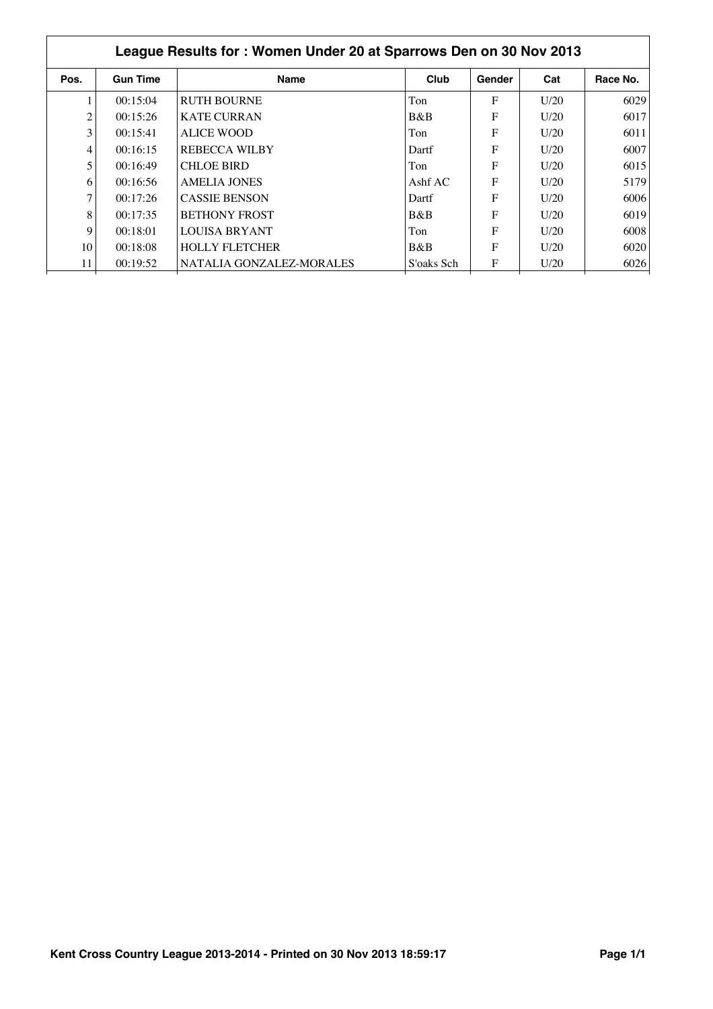| League Results for: Women Under 20 at Sparrows Den on 30 Nov 2013 |                 |                          |            |        |      |          |  |  |
|-------------------------------------------------------------------|-----------------|--------------------------|------------|--------|------|----------|--|--|
| Pos.                                                              | <b>Gun Time</b> | <b>Name</b>              | Club       | Gender | Cat  | Race No. |  |  |
|                                                                   | 00:15:04        | <b>RUTH BOURNE</b>       | Ton        | F      | U/20 | 6029     |  |  |
| $\overline{c}$                                                    | 00:15:26        | <b>KATE CURRAN</b>       | B&B        | F      | U/20 | 6017     |  |  |
| 3                                                                 | 00:15:41        | ALICE WOOD               | Ton        | F      | U/20 | 6011     |  |  |
| 4                                                                 | 00:16:15        | <b>REBECCA WILBY</b>     | Dartf      | F      | U/20 | 6007     |  |  |
| 5                                                                 | 00:16:49        | <b>CHLOE BIRD</b>        | Ton        | F      | U/20 | 6015     |  |  |
| 6                                                                 | 00:16:56        | AMELIA JONES             | Ashf $AC$  | F      | U/20 | 5179     |  |  |
| 7                                                                 | 00:17:26        | <b>CASSIE BENSON</b>     | Dartf      | F      | U/20 | 6006     |  |  |
| 8                                                                 | 00:17:35        | <b>BETHONY FROST</b>     | B&B        | F      | U/20 | 6019     |  |  |
| 9                                                                 | 00:18:01        | LOUISA BRYANT            | Ton        | F      | U/20 | 6008     |  |  |
| 10                                                                | 00:18:08        | <b>HOLLY FLETCHER</b>    | B&B        | F      | U/20 | 6020     |  |  |
| 11                                                                | 00:19:52        | NATALIA GONZALEZ-MORALES | S'oaks Sch | F      | U/20 | 6026     |  |  |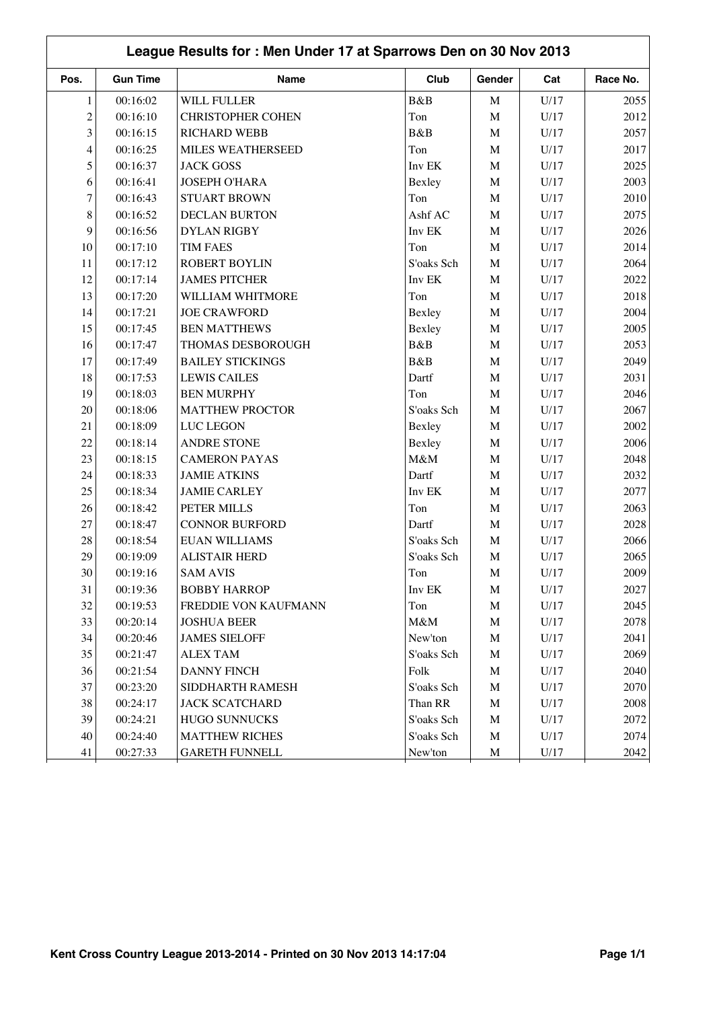| League Results for: Men Under 17 at Sparrows Den on 30 Nov 2013 |                 |                          |            |             |      |          |  |
|-----------------------------------------------------------------|-----------------|--------------------------|------------|-------------|------|----------|--|
| Pos.                                                            | <b>Gun Time</b> | <b>Name</b>              | Club       | Gender      | Cat  | Race No. |  |
| $\mathbf{1}$                                                    | 00:16:02        | <b>WILL FULLER</b>       | B&B        | $\mathbf M$ | U/17 | 2055     |  |
| $\overline{c}$                                                  | 00:16:10        | <b>CHRISTOPHER COHEN</b> | Ton        | $\mathbf M$ | U/17 | 2012     |  |
| 3                                                               | 00:16:15        | <b>RICHARD WEBB</b>      | B&B        | $\mathbf M$ | U/17 | 2057     |  |
| $\overline{\mathcal{L}}$                                        | 00:16:25        | MILES WEATHERSEED        | Ton        | $\mathbf M$ | U/17 | 2017     |  |
| 5                                                               | 00:16:37        | <b>JACK GOSS</b>         | Inv EK     | $\mathbf M$ | U/17 | 2025     |  |
| 6                                                               | 00:16:41        | <b>JOSEPH O'HARA</b>     | Bexley     | $\mathbf M$ | U/17 | 2003     |  |
| $\tau$                                                          | 00:16:43        | <b>STUART BROWN</b>      | Ton        | $\mathbf M$ | U/17 | 2010     |  |
| $\,8\,$                                                         | 00:16:52        | <b>DECLAN BURTON</b>     | Ashf AC    | $\mathbf M$ | U/17 | 2075     |  |
| 9                                                               | 00:16:56        | <b>DYLAN RIGBY</b>       | Inv EK     | $\mathbf M$ | U/17 | 2026     |  |
| 10                                                              | 00:17:10        | <b>TIM FAES</b>          | Ton        | M           | U/17 | 2014     |  |
| 11                                                              | 00:17:12        | <b>ROBERT BOYLIN</b>     | S'oaks Sch | $\mathbf M$ | U/17 | 2064     |  |
| 12                                                              | 00:17:14        | <b>JAMES PITCHER</b>     | Inv EK     | $\mathbf M$ | U/17 | 2022     |  |
| 13                                                              | 00:17:20        | WILLIAM WHITMORE         | Ton        | $\mathbf M$ | U/17 | 2018     |  |
| 14                                                              | 00:17:21        | <b>JOE CRAWFORD</b>      | Bexley     | $\mathbf M$ | U/17 | 2004     |  |
| 15                                                              | 00:17:45        | <b>BEN MATTHEWS</b>      | Bexley     | $\mathbf M$ | U/17 | 2005     |  |
| 16                                                              | 00:17:47        | THOMAS DESBOROUGH        | B&B        | $\mathbf M$ | U/17 | 2053     |  |
| 17                                                              | 00:17:49        | <b>BAILEY STICKINGS</b>  | B&B        | $\mathbf M$ | U/17 | 2049     |  |
| 18                                                              | 00:17:53        | <b>LEWIS CAILES</b>      | Dartf      | $\mathbf M$ | U/17 | 2031     |  |
| 19                                                              | 00:18:03        | <b>BEN MURPHY</b>        | Ton        | $\mathbf M$ | U/17 | 2046     |  |
| 20                                                              | 00:18:06        | <b>MATTHEW PROCTOR</b>   | S'oaks Sch | $\mathbf M$ | U/17 | 2067     |  |
| 21                                                              | 00:18:09        | LUC LEGON                | Bexley     | $\mathbf M$ | U/17 | 2002     |  |
| 22                                                              | 00:18:14        | <b>ANDRE STONE</b>       | Bexley     | $\mathbf M$ | U/17 | 2006     |  |
| 23                                                              | 00:18:15        | <b>CAMERON PAYAS</b>     | M&M        | $\mathbf M$ | U/17 | 2048     |  |
| 24                                                              | 00:18:33        | <b>JAMIE ATKINS</b>      | Dartf      | $\mathbf M$ | U/17 | 2032     |  |
| 25                                                              | 00:18:34        | <b>JAMIE CARLEY</b>      | Inv EK     | $\mathbf M$ | U/17 | 2077     |  |
| 26                                                              | 00:18:42        | PETER MILLS              | Ton        | $\mathbf M$ | U/17 | 2063     |  |
| 27                                                              | 00:18:47        | <b>CONNOR BURFORD</b>    | Dartf      | $\mathbf M$ | U/17 | 2028     |  |
| 28                                                              | 00:18:54        | <b>EUAN WILLIAMS</b>     | S'oaks Sch | $\mathbf M$ | U/17 | 2066     |  |
| 29                                                              | 00:19:09        | <b>ALISTAIR HERD</b>     | S'oaks Sch | $\mathbf M$ | U/17 | 2065     |  |
| $30\,$                                                          | 00:19:16        | <b>SAM AVIS</b>          | Ton        | M           | U/17 | 2009     |  |
| 31                                                              | 00:19:36        | <b>BOBBY HARROP</b>      | Inv EK     | M           | U/17 | 2027     |  |
| 32                                                              | 00:19:53        | FREDDIE VON KAUFMANN     | Ton        | $\mathbf M$ | U/17 | 2045     |  |
| 33                                                              | 00:20:14        | <b>JOSHUA BEER</b>       | M&M        | $\mathbf M$ | U/17 | 2078     |  |
| 34                                                              | 00:20:46        | <b>JAMES SIELOFF</b>     | New'ton    | $\mathbf M$ | U/17 | 2041     |  |
| 35                                                              | 00:21:47        | <b>ALEX TAM</b>          | S'oaks Sch | $\mathbf M$ | U/17 | 2069     |  |
| 36                                                              | 00:21:54        | <b>DANNY FINCH</b>       | Folk       | $\mathbf M$ | U/17 | 2040     |  |
| 37                                                              | 00:23:20        | SIDDHARTH RAMESH         | S'oaks Sch | $\mathbf M$ | U/17 | 2070     |  |
| 38                                                              | 00:24:17        | <b>JACK SCATCHARD</b>    | Than RR    | $\mathbf M$ | U/17 | 2008     |  |
| 39                                                              | 00:24:21        | <b>HUGO SUNNUCKS</b>     | S'oaks Sch | $\mathbf M$ | U/17 | 2072     |  |
| 40                                                              | 00:24:40        | <b>MATTHEW RICHES</b>    | S'oaks Sch | $\mathbf M$ | U/17 | 2074     |  |
| 41                                                              | 00:27:33        | <b>GARETH FUNNELL</b>    | New'ton    | $\mathbf M$ | U/17 | 2042     |  |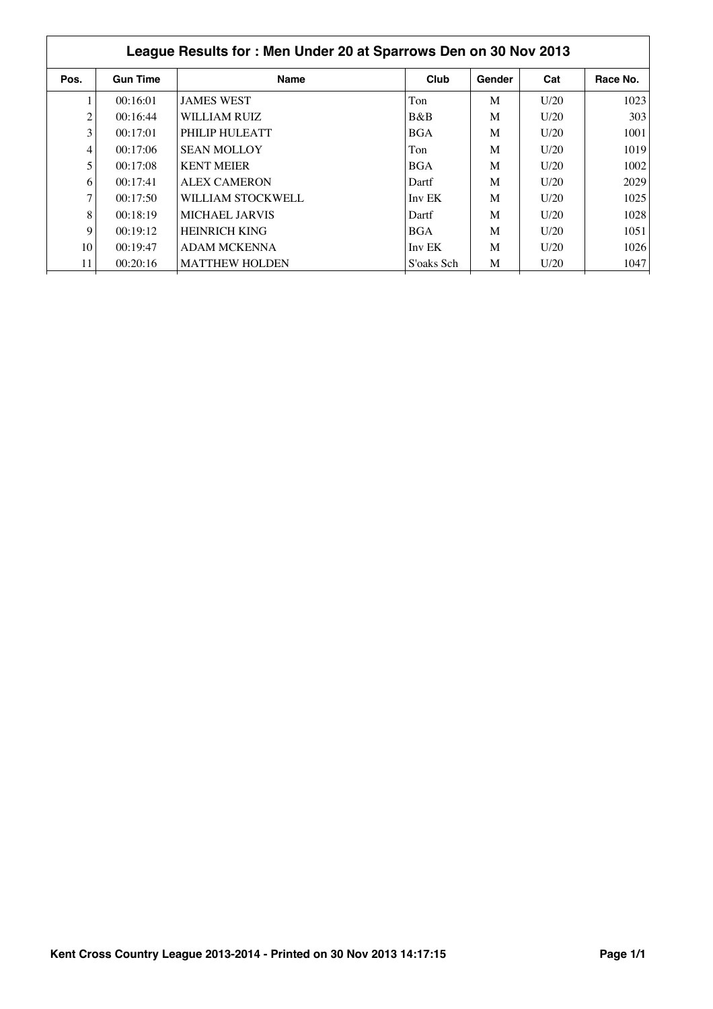| League Results for: Men Under 20 at Sparrows Den on 30 Nov 2013 |                 |                       |            |        |      |          |  |  |  |
|-----------------------------------------------------------------|-----------------|-----------------------|------------|--------|------|----------|--|--|--|
| Pos.                                                            | <b>Gun Time</b> | <b>Name</b>           | Club       | Gender | Cat  | Race No. |  |  |  |
|                                                                 | 00:16:01        | <b>JAMES WEST</b>     | Ton        | M      | U/20 | 1023     |  |  |  |
| 2                                                               | 00:16:44        | WILLIAM RUIZ          | B&B        | M      | U/20 | 303      |  |  |  |
| 3                                                               | 00:17:01        | PHILIP HULEATT        | <b>BGA</b> | M      | U/20 | 1001     |  |  |  |
| 4                                                               | 00:17:06        | <b>SEAN MOLLOY</b>    | Ton        | M      | U/20 | 1019     |  |  |  |
| 5                                                               | 00:17:08        | <b>KENT MEIER</b>     | <b>BGA</b> | M      | U/20 | 1002     |  |  |  |
| 6                                                               | 00:17:41        | <b>ALEX CAMERON</b>   | Dartf      | M      | U/20 | 2029     |  |  |  |
| 7                                                               | 00:17:50        | WILLIAM STOCKWELL     | Inv EK     | M      | U/20 | 1025     |  |  |  |
| 8                                                               | 00:18:19        | MICHAEL JARVIS        | Dartf      | M      | U/20 | 1028     |  |  |  |
| 9                                                               | 00:19:12        | <b>HEINRICH KING</b>  | <b>BGA</b> | M      | U/20 | 1051     |  |  |  |
| 10                                                              | 00:19:47        | ADAM MCKENNA          | Inv EK     | M      | U/20 | 1026     |  |  |  |
| 11                                                              | 00:20:16        | <b>MATTHEW HOLDEN</b> | S'oaks Sch | M      | U/20 | 1047     |  |  |  |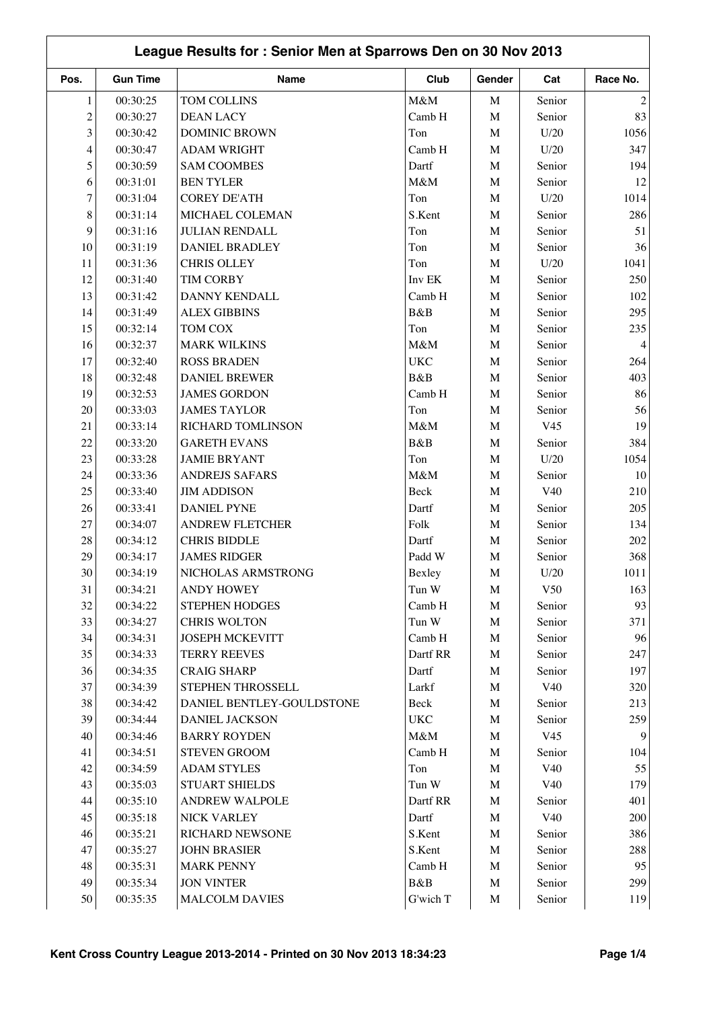| League Results for: Senior Men at Sparrows Den on 30 Nov 2013 |                      |                                     |                        |                  |                 |                |  |  |
|---------------------------------------------------------------|----------------------|-------------------------------------|------------------------|------------------|-----------------|----------------|--|--|
| Pos.                                                          | <b>Gun Time</b>      | Name                                | Club                   | Gender           | Cat             | Race No.       |  |  |
| 1                                                             | 00:30:25             | TOM COLLINS                         | M&M                    | $\mathbf M$      | Senior          | 2              |  |  |
| $\overline{c}$                                                | 00:30:27             | <b>DEAN LACY</b>                    | Camb H                 | $\mathbf M$      | Senior          | 83             |  |  |
| 3                                                             | 00:30:42             | <b>DOMINIC BROWN</b>                | Ton                    | $\mathbf M$      | U/20            | 1056           |  |  |
| $\overline{4}$                                                | 00:30:47             | <b>ADAM WRIGHT</b>                  | Camb H                 | M                | U/20            | 347            |  |  |
| 5                                                             | 00:30:59             | <b>SAM COOMBES</b>                  | Dartf                  | $\mathbf M$      | Senior          | 194            |  |  |
| 6                                                             | 00:31:01             | <b>BEN TYLER</b>                    | M&M                    | $\mathbf M$      | Senior          | 12             |  |  |
| 7                                                             | 00:31:04             | <b>COREY DE'ATH</b>                 | Ton                    | $\mathbf M$      | U/20            | 1014           |  |  |
| 8                                                             | 00:31:14             | MICHAEL COLEMAN                     | S.Kent                 | $\mathbf M$      | Senior          | 286            |  |  |
| 9                                                             | 00:31:16             | <b>JULIAN RENDALL</b>               | Ton                    | $\mathbf M$      | Senior          | 51             |  |  |
| 10                                                            | 00:31:19             | <b>DANIEL BRADLEY</b>               | Ton                    | M                | Senior          | 36             |  |  |
| 11                                                            | 00:31:36             | <b>CHRIS OLLEY</b>                  | Ton                    | M                | U/20            | 1041           |  |  |
| 12                                                            | 00:31:40             | <b>TIM CORBY</b>                    | Inv EK                 | $\mathbf M$      | Senior          | 250            |  |  |
| 13                                                            | 00:31:42             | DANNY KENDALL                       | Camb H                 | $\mathbf M$      | Senior          | 102            |  |  |
| 14                                                            | 00:31:49             | <b>ALEX GIBBINS</b>                 | B&B                    | $\mathbf M$      | Senior          | 295            |  |  |
| 15                                                            | 00:32:14             | TOM COX                             | Ton                    | M                | Senior          | 235            |  |  |
| 16                                                            | 00:32:37             | <b>MARK WILKINS</b>                 | M&M                    | $\mathbf M$      | Senior          | 4              |  |  |
| 17                                                            | 00:32:40             | <b>ROSS BRADEN</b>                  | $_{\rm UKC}$           | M                | Senior          | 264            |  |  |
| 18                                                            | 00:32:48             | <b>DANIEL BREWER</b>                | B&B                    | $\mathbf M$      | Senior          | 403            |  |  |
| 19                                                            | 00:32:53             | <b>JAMES GORDON</b>                 | Camb H                 | M                | Senior          | 86             |  |  |
| 20                                                            | 00:33:03             | <b>JAMES TAYLOR</b>                 | Ton                    | $\mathbf M$      | Senior          | 56             |  |  |
| 21                                                            | 00:33:14             | RICHARD TOMLINSON                   | M&M                    | $\mathbf M$      | V <sub>45</sub> | 19             |  |  |
| 22                                                            | 00:33:20             | <b>GARETH EVANS</b>                 | B&B                    | $\mathbf M$      | Senior          | 384            |  |  |
| 23                                                            | 00:33:28             | <b>JAMIE BRYANT</b>                 | Ton                    | $\mathbf M$      | U/20            | 1054           |  |  |
| 24                                                            | 00:33:36             | <b>ANDREJS SAFARS</b>               | M&M                    | $\mathbf M$      | Senior          | 10             |  |  |
| 25                                                            | 00:33:40             | <b>JIM ADDISON</b>                  | Beck                   | $\mathbf M$      | V40             | 210            |  |  |
| 26                                                            | 00:33:41             | <b>DANIEL PYNE</b>                  | Dartf                  | M                | Senior          | 205            |  |  |
| 27                                                            | 00:34:07             | <b>ANDREW FLETCHER</b>              | Folk                   | $\mathbf M$      | Senior          | 134            |  |  |
| 28                                                            | 00:34:12             | <b>CHRIS BIDDLE</b>                 | Dartf                  | $\mathbf M$      | Senior          | 202            |  |  |
| 29                                                            | 00:34:17             | <b>JAMES RIDGER</b>                 | Padd W                 | $\mathbf M$      | Senior          | 368            |  |  |
| 30                                                            |                      |                                     |                        |                  |                 |                |  |  |
|                                                               | 00:34:19<br>00:34:21 | NICHOLAS ARMSTRONG                  | Bexley                 | M                | U/20            | 1011           |  |  |
| 31<br>32                                                      |                      | <b>ANDY HOWEY</b><br>STEPHEN HODGES | Tun W<br>Camb H        | M<br>$\mathbf M$ | V50             | 163<br>93      |  |  |
| 33                                                            | 00:34:22<br>00:34:27 | <b>CHRIS WOLTON</b>                 |                        | $\mathbf M$      | Senior          | 371            |  |  |
| 34                                                            |                      |                                     | Tun W                  |                  | Senior          |                |  |  |
|                                                               | 00:34:31             | <b>JOSEPH MCKEVITT</b>              | Camb H                 | $\mathbf M$      | Senior          | 96             |  |  |
| 35<br>36                                                      | 00:34:33             | <b>TERRY REEVES</b>                 | Dartf RR               | $\mathbf M$      | Senior          | 247<br>197     |  |  |
| 37                                                            | 00:34:35             | <b>CRAIG SHARP</b>                  | Dartf                  | $\mathbf M$      | Senior<br>V40   |                |  |  |
|                                                               | 00:34:39             | STEPHEN THROSSELL                   | Larkf                  | M                |                 | 320            |  |  |
| 38                                                            | 00:34:42             | DANIEL BENTLEY-GOULDSTONE           | Beck                   | $\mathbf M$      | Senior          | 213            |  |  |
| 39                                                            | 00:34:44             | DANIEL JACKSON                      | <b>UKC</b>             | $\mathbf M$      | Senior          | 259            |  |  |
| 40                                                            | 00:34:46             | <b>BARRY ROYDEN</b>                 | M&M                    | $\mathbf M$      | V <sub>45</sub> | $\overline{9}$ |  |  |
| 41                                                            | 00:34:51             | STEVEN GROOM                        | Camb H                 | M                | Senior          | 104            |  |  |
| 42                                                            | 00:34:59             | <b>ADAM STYLES</b>                  | Ton                    | $\mathbf M$      | V40             | 55             |  |  |
| 43                                                            | 00:35:03             | <b>STUART SHIELDS</b>               | $\operatorname{Tun}$ W | $\mathbf M$      | V40             | 179            |  |  |
| 44                                                            | 00:35:10             | <b>ANDREW WALPOLE</b>               | Dartf RR               | $\mathbf M$      | Senior          | 401            |  |  |
| 45                                                            | 00:35:18             | NICK VARLEY                         | Dartf                  | M                | V40             | 200            |  |  |
| 46                                                            | 00:35:21             | RICHARD NEWSONE                     | S.Kent                 | $\mathbf M$      | Senior          | 386            |  |  |
| 47                                                            | 00:35:27             | <b>JOHN BRASIER</b>                 | S.Kent                 | $\mathbf M$      | Senior          | 288            |  |  |
| 48                                                            | 00:35:31             | <b>MARK PENNY</b>                   | Camb H                 | $\mathbf M$      | Senior          | 95             |  |  |
| 49                                                            | 00:35:34             | <b>JON VINTER</b>                   | B&B                    | $\mathbf M$      | Senior          | 299            |  |  |
| 50                                                            | 00:35:35             | <b>MALCOLM DAVIES</b>               | G'wich T               | $\mathbf M$      | Senior          | 119            |  |  |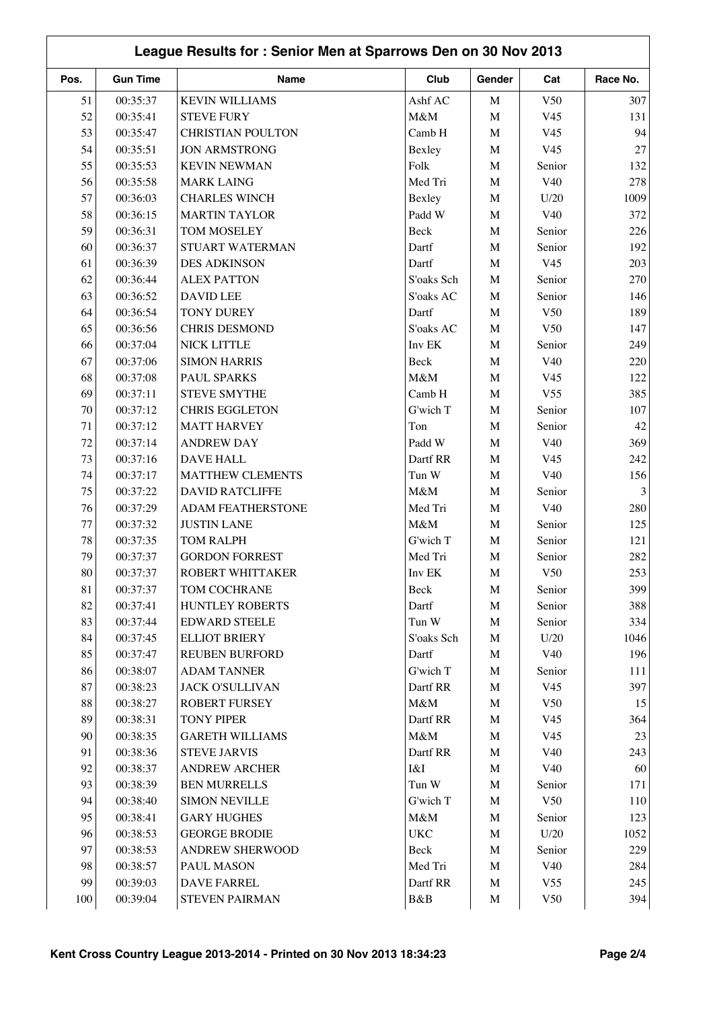|      | League Results for: Senior Men at Sparrows Den on 30 Nov 2013 |                          |            |             |                 |                |  |  |  |
|------|---------------------------------------------------------------|--------------------------|------------|-------------|-----------------|----------------|--|--|--|
| Pos. | <b>Gun Time</b>                                               | Name                     | Club       | Gender      | Cat             | Race No.       |  |  |  |
| 51   | 00:35:37                                                      | <b>KEVIN WILLIAMS</b>    | Ashf AC    | $\mathbf M$ | V50             | 307            |  |  |  |
| 52   | 00:35:41                                                      | <b>STEVE FURY</b>        | M&M        | $\mathbf M$ | V <sub>45</sub> | 131            |  |  |  |
| 53   | 00:35:47                                                      | <b>CHRISTIAN POULTON</b> | Camb H     | $\mathbf M$ | V <sub>45</sub> | 94             |  |  |  |
| 54   | 00:35:51                                                      | <b>JON ARMSTRONG</b>     | Bexley     | $\mathbf M$ | V <sub>45</sub> | $27\,$         |  |  |  |
| 55   | 00:35:53                                                      | <b>KEVIN NEWMAN</b>      | Folk       | $\mathbf M$ | Senior          | 132            |  |  |  |
| 56   | 00:35:58                                                      | <b>MARK LAING</b>        | Med Tri    | $\mathbf M$ | V40             | 278            |  |  |  |
| 57   | 00:36:03                                                      | <b>CHARLES WINCH</b>     | Bexley     | $\mathbf M$ | U/20            | 1009           |  |  |  |
| 58   | 00:36:15                                                      | <b>MARTIN TAYLOR</b>     | Padd W     | $\mathbf M$ | V40             | 372            |  |  |  |
| 59   | 00:36:31                                                      | TOM MOSELEY              | Beck       | $\mathbf M$ | Senior          | 226            |  |  |  |
| 60   | 00:36:37                                                      | STUART WATERMAN          | Dartf      | $\mathbf M$ | Senior          | 192            |  |  |  |
| 61   | 00:36:39                                                      | <b>DES ADKINSON</b>      | Dartf      | $\mathbf M$ | V <sub>45</sub> | 203            |  |  |  |
| 62   | 00:36:44                                                      | <b>ALEX PATTON</b>       | S'oaks Sch | $\mathbf M$ | Senior          | 270            |  |  |  |
| 63   | 00:36:52                                                      | <b>DAVID LEE</b>         | S'oaks AC  | $\mathbf M$ | Senior          | 146            |  |  |  |
| 64   | 00:36:54                                                      | TONY DUREY               | Dartf      | $\mathbf M$ | V <sub>50</sub> | 189            |  |  |  |
| 65   | 00:36:56                                                      | <b>CHRIS DESMOND</b>     | S'oaks AC  | $\mathbf M$ | V <sub>50</sub> | 147            |  |  |  |
| 66   | 00:37:04                                                      | <b>NICK LITTLE</b>       | Inv EK     | $\mathbf M$ | Senior          | 249            |  |  |  |
| 67   | 00:37:06                                                      | <b>SIMON HARRIS</b>      | Beck       | $\mathbf M$ | V40             | 220            |  |  |  |
| 68   | 00:37:08                                                      | PAUL SPARKS              | M&M        | $\mathbf M$ | V <sub>45</sub> | 122            |  |  |  |
| 69   | 00:37:11                                                      | <b>STEVE SMYTHE</b>      | Camb H     | $\mathbf M$ | V <sub>55</sub> | 385            |  |  |  |
| 70   | 00:37:12                                                      | <b>CHRIS EGGLETON</b>    | G'wich T   | $\mathbf M$ | Senior          | 107            |  |  |  |
| 71   | 00:37:12                                                      | <b>MATT HARVEY</b>       | Ton        | $\mathbf M$ | Senior          | 42             |  |  |  |
| 72   | 00:37:14                                                      | <b>ANDREW DAY</b>        | Padd W     | $\mathbf M$ | V <sub>40</sub> | 369            |  |  |  |
| 73   | 00:37:16                                                      | <b>DAVE HALL</b>         | Dartf RR   | $\mathbf M$ | V <sub>45</sub> | 242            |  |  |  |
| 74   | 00:37:17                                                      | MATTHEW CLEMENTS         | Tun W      | $\mathbf M$ | V40             | 156            |  |  |  |
| 75   | 00:37:22                                                      | <b>DAVID RATCLIFFE</b>   | M&M        | $\mathbf M$ | Senior          | $\mathfrak{Z}$ |  |  |  |
| 76   | 00:37:29                                                      | ADAM FEATHERSTONE        | Med Tri    | $\mathbf M$ | V40             | 280            |  |  |  |
| 77   | 00:37:32                                                      | <b>JUSTIN LANE</b>       | M&M        | $\mathbf M$ | Senior          | 125            |  |  |  |
| 78   | 00:37:35                                                      | TOM RALPH                | G'wich T   | $\mathbf M$ | Senior          | 121            |  |  |  |
| 79   | 00:37:37                                                      | <b>GORDON FORREST</b>    | Med Tri    | $\mathbf M$ | Senior          | 282            |  |  |  |
| 80   | 00:37:37                                                      | ROBERT WHITTAKER         | Inv EK     | M           | V50             | 253            |  |  |  |
| 81   | 00:37:37                                                      | TOM COCHRANE             | Beck       | M           | Senior          | 399            |  |  |  |
| 82   | 00:37:41                                                      | <b>HUNTLEY ROBERTS</b>   | Dartf      | $\mathbf M$ | Senior          | 388            |  |  |  |
| 83   | 00:37:44                                                      | <b>EDWARD STEELE</b>     | Tun W      | $\mathbf M$ | Senior          | 334            |  |  |  |
| 84   | 00:37:45                                                      | <b>ELLIOT BRIERY</b>     | S'oaks Sch | $\mathbf M$ | U/20            | 1046           |  |  |  |
| 85   | 00:37:47                                                      | <b>REUBEN BURFORD</b>    | Dartf      | $\mathbf M$ | V40             | 196            |  |  |  |
| 86   | 00:38:07                                                      | <b>ADAM TANNER</b>       | G'wich T   | $\mathbf M$ | Senior          | 111            |  |  |  |
| 87   | 00:38:23                                                      | <b>JACK O'SULLIVAN</b>   | Dartf RR   | $\mathbf M$ | V <sub>45</sub> | 397            |  |  |  |
| 88   | 00:38:27                                                      | <b>ROBERT FURSEY</b>     | M&M        | $\mathbf M$ | V50             | 15             |  |  |  |
| 89   | 00:38:31                                                      | <b>TONY PIPER</b>        | Dartf RR   | $\mathbf M$ | V <sub>45</sub> | 364            |  |  |  |
| 90   | 00:38:35                                                      | <b>GARETH WILLIAMS</b>   | M&M        | $\mathbf M$ | V <sub>45</sub> | 23             |  |  |  |
| 91   | 00:38:36                                                      | <b>STEVE JARVIS</b>      | Dartf RR   |             | V40             | 243            |  |  |  |
|      |                                                               |                          |            | $\mathbf M$ |                 |                |  |  |  |
| 92   | 00:38:37                                                      | <b>ANDREW ARCHER</b>     | I&I        | $\mathbf M$ | V40             | 60             |  |  |  |
| 93   | 00:38:39                                                      | <b>BEN MURRELLS</b>      | Tun W      | $\mathbf M$ | Senior          | 171            |  |  |  |
| 94   | 00:38:40                                                      | <b>SIMON NEVILLE</b>     | G'wich T   | $\mathbf M$ | V <sub>50</sub> | 110            |  |  |  |
| 95   | 00:38:41                                                      | <b>GARY HUGHES</b>       | M&M        | $\mathbf M$ | Senior          | 123            |  |  |  |
| 96   | 00:38:53                                                      | <b>GEORGE BRODIE</b>     | <b>UKC</b> | $\mathbf M$ | U/20            | 1052           |  |  |  |
| 97   | 00:38:53                                                      | ANDREW SHERWOOD          | Beck       | $\mathbf M$ | Senior          | 229            |  |  |  |
| 98   | 00:38:57                                                      | PAUL MASON               | Med Tri    | $\mathbf M$ | V40             | 284            |  |  |  |
| 99   | 00:39:03                                                      | DAVE FARREL              | Dartf RR   | $\mathbf M$ | V <sub>55</sub> | 245            |  |  |  |
| 100  | 00:39:04                                                      | <b>STEVEN PAIRMAN</b>    | B&B        | $\mathbf M$ | V50             | 394            |  |  |  |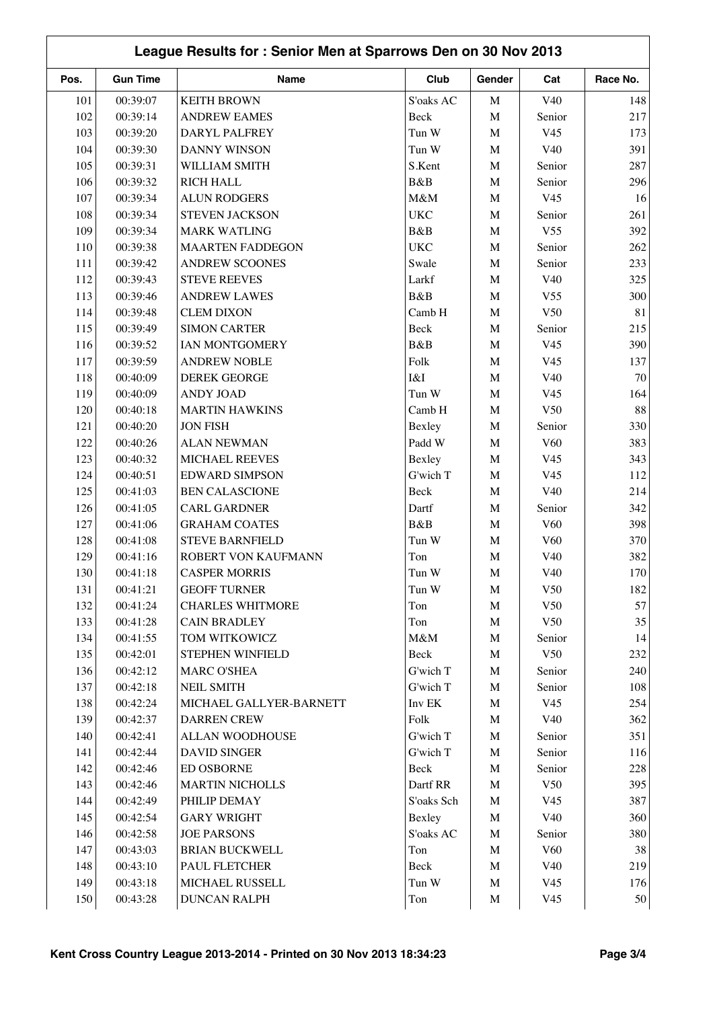|      | League Results for: Senior Men at Sparrows Den on 30 Nov 2013 |                         |            |             |                 |          |  |  |  |
|------|---------------------------------------------------------------|-------------------------|------------|-------------|-----------------|----------|--|--|--|
| Pos. | <b>Gun Time</b>                                               | <b>Name</b>             | Club       | Gender      | Cat             | Race No. |  |  |  |
| 101  | 00:39:07                                                      | <b>KEITH BROWN</b>      | S'oaks AC  | M           | V40             | 148      |  |  |  |
| 102  | 00:39:14                                                      | <b>ANDREW EAMES</b>     | Beck       | $\mathbf M$ | Senior          | 217      |  |  |  |
| 103  | 00:39:20                                                      | DARYL PALFREY           | Tun W      | $\mathbf M$ | V <sub>45</sub> | 173      |  |  |  |
| 104  | 00:39:30                                                      | <b>DANNY WINSON</b>     | Tun W      | $\mathbf M$ | V40             | 391      |  |  |  |
| 105  | 00:39:31                                                      | WILLIAM SMITH           | S.Kent     | $\mathbf M$ | Senior          | 287      |  |  |  |
| 106  | 00:39:32                                                      | <b>RICH HALL</b>        | B&B        | $\mathbf M$ | Senior          | 296      |  |  |  |
| 107  | 00:39:34                                                      | <b>ALUN RODGERS</b>     | M&M        | $\mathbf M$ | V <sub>45</sub> | 16       |  |  |  |
| 108  | 00:39:34                                                      | STEVEN JACKSON          | <b>UKC</b> | $\mathbf M$ | Senior          | 261      |  |  |  |
| 109  | 00:39:34                                                      | <b>MARK WATLING</b>     | B&B        | $\mathbf M$ | V <sub>55</sub> | 392      |  |  |  |
| 110  | 00:39:38                                                      | <b>MAARTEN FADDEGON</b> | <b>UKC</b> | $\mathbf M$ | Senior          | 262      |  |  |  |
| 111  | 00:39:42                                                      | <b>ANDREW SCOONES</b>   | Swale      | M           | Senior          | 233      |  |  |  |
| 112  | 00:39:43                                                      | <b>STEVE REEVES</b>     | Larkf      | $\mathbf M$ | V40             | 325      |  |  |  |
| 113  | 00:39:46                                                      | <b>ANDREW LAWES</b>     | B&B        | $\mathbf M$ | V <sub>55</sub> | 300      |  |  |  |
| 114  | 00:39:48                                                      | <b>CLEM DIXON</b>       | Camb H     | $\mathbf M$ | V50             | 81       |  |  |  |
| 115  | 00:39:49                                                      | <b>SIMON CARTER</b>     | Beck       | M           | Senior          | 215      |  |  |  |
| 116  | 00:39:52                                                      | IAN MONTGOMERY          | B&B        | $\mathbf M$ | V <sub>45</sub> | 390      |  |  |  |
| 117  | 00:39:59                                                      | <b>ANDREW NOBLE</b>     | Folk       | $\mathbf M$ | V <sub>45</sub> | 137      |  |  |  |
| 118  | 00:40:09                                                      | <b>DEREK GEORGE</b>     | I&I        | $\mathbf M$ | V40             | 70       |  |  |  |
| 119  | 00:40:09                                                      | <b>ANDY JOAD</b>        | Tun W      | M           | V <sub>45</sub> | 164      |  |  |  |
| 120  | 00:40:18                                                      | <b>MARTIN HAWKINS</b>   | Camb H     | $\mathbf M$ | V50             | 88       |  |  |  |
| 121  | 00:40:20                                                      | <b>JON FISH</b>         | Bexley     | $\mathbf M$ | Senior          | 330      |  |  |  |
| 122  | 00:40:26                                                      | <b>ALAN NEWMAN</b>      | Padd W     | $\mathbf M$ | V60             | 383      |  |  |  |
| 123  | 00:40:32                                                      | MICHAEL REEVES          | Bexley     | $\mathbf M$ | V <sub>45</sub> | 343      |  |  |  |
| 124  | 00:40:51                                                      | <b>EDWARD SIMPSON</b>   | G'wich T   | $\mathbf M$ | V <sub>45</sub> | 112      |  |  |  |
| 125  | 00:41:03                                                      | <b>BEN CALASCIONE</b>   | Beck       | $\mathbf M$ | V40             | 214      |  |  |  |
| 126  | 00:41:05                                                      | <b>CARL GARDNER</b>     | Dartf      | M           | Senior          | 342      |  |  |  |
| 127  | 00:41:06                                                      | <b>GRAHAM COATES</b>    | B&B        | $\mathbf M$ | V <sub>60</sub> | 398      |  |  |  |
| 128  | 00:41:08                                                      | <b>STEVE BARNFIELD</b>  | Tun W      | $\mathbf M$ | V60             | 370      |  |  |  |
| 129  | 00:41:16                                                      | ROBERT VON KAUFMANN     | Ton        | $\mathbf M$ | V40             | 382      |  |  |  |
| 130  | 00:41:18                                                      | <b>CASPER MORRIS</b>    | Tun W      | M           | V40             | 170      |  |  |  |
| 131  | 00:41:21                                                      | <b>GEOFF TURNER</b>     | Tun W      | M           | V50             | 182      |  |  |  |
| 132  | 00:41:24                                                      | <b>CHARLES WHITMORE</b> | Ton        | M           | V50             | 57       |  |  |  |
| 133  | 00:41:28                                                      | <b>CAIN BRADLEY</b>     | Ton        | $\mathbf M$ | V50             | 35       |  |  |  |
| 134  | 00:41:55                                                      | TOM WITKOWICZ           | M&M        | $\mathbf M$ | Senior          | 14       |  |  |  |
| 135  | 00:42:01                                                      | STEPHEN WINFIELD        | Beck       | $\mathbf M$ | V50             | 232      |  |  |  |
| 136  | 00:42:12                                                      | <b>MARC O'SHEA</b>      | G'wich T   | $\mathbf M$ | Senior          | 240      |  |  |  |
| 137  | 00:42:18                                                      | <b>NEIL SMITH</b>       | G'wich T   | $\mathbf M$ | Senior          | 108      |  |  |  |
| 138  | 00:42:24                                                      | MICHAEL GALLYER-BARNETT | Inv EK     | M           | V <sub>45</sub> | 254      |  |  |  |
| 139  | 00:42:37                                                      | <b>DARREN CREW</b>      | Folk       | $\mathbf M$ | V40             | 362      |  |  |  |
| 140  | 00:42:41                                                      | ALLAN WOODHOUSE         | G'wich T   | $\mathbf M$ | Senior          | 351      |  |  |  |
| 141  | 00:42:44                                                      | <b>DAVID SINGER</b>     | G'wich T   | $\mathbf M$ | Senior          | 116      |  |  |  |
| 142  | 00:42:46                                                      | <b>ED OSBORNE</b>       | Beck       | M           | Senior          | 228      |  |  |  |
| 143  | 00:42:46                                                      | <b>MARTIN NICHOLLS</b>  | Dartf RR   | $\mathbf M$ | V50             | 395      |  |  |  |
| 144  | 00:42:49                                                      | PHILIP DEMAY            | S'oaks Sch | $\mathbf M$ | V <sub>45</sub> | 387      |  |  |  |
| 145  | 00:42:54                                                      | <b>GARY WRIGHT</b>      | Bexley     | $\mathbf M$ | V40             | 360      |  |  |  |
| 146  | 00:42:58                                                      | <b>JOE PARSONS</b>      | S'oaks AC  | $\mathbf M$ | Senior          | 380      |  |  |  |
| 147  | 00:43:03                                                      | <b>BRIAN BUCKWELL</b>   | Ton        | M           | V60             | 38       |  |  |  |
| 148  | 00:43:10                                                      | PAUL FLETCHER           | Beck       | $\mathbf M$ | V40             | 219      |  |  |  |
| 149  | 00:43:18                                                      | MICHAEL RUSSELL         | Tun W      | M           | V <sub>45</sub> | 176      |  |  |  |
| 150  | 00:43:28                                                      | <b>DUNCAN RALPH</b>     | Ton        | $\mathbf M$ | V <sub>45</sub> | 50       |  |  |  |
|      |                                                               |                         |            |             |                 |          |  |  |  |